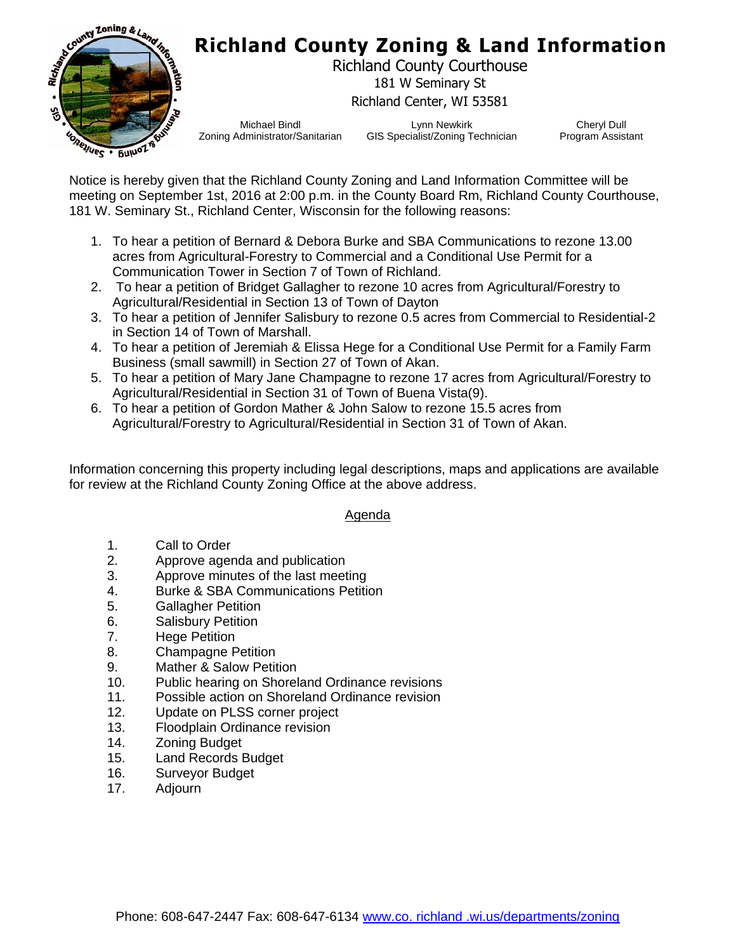

## **Richland County Zoning & Land Information**

Richland County Courthouse 181 W Seminary St Richland Center, WI 53581

Michael Bindl Zoning Administrator/Sanitarian

Lynn Newkirk GIS Specialist/Zoning Technician

Cheryl Dull Program Assistant

Notice is hereby given that the Richland County Zoning and Land Information Committee will be meeting on September 1st, 2016 at 2:00 p.m. in the County Board Rm, Richland County Courthouse, 181 W. Seminary St., Richland Center, Wisconsin for the following reasons:

- 1. To hear a petition of Bernard & Debora Burke and SBA Communications to rezone 13.00 acres from Agricultural-Forestry to Commercial and a Conditional Use Permit for a Communication Tower in Section 7 of Town of Richland.
- 2. To hear a petition of Bridget Gallagher to rezone 10 acres from Agricultural/Forestry to Agricultural/Residential in Section 13 of Town of Dayton
- 3. To hear a petition of Jennifer Salisbury to rezone 0.5 acres from Commercial to Residential-2 in Section 14 of Town of Marshall.
- 4. To hear a petition of Jeremiah & Elissa Hege for a Conditional Use Permit for a Family Farm Business (small sawmill) in Section 27 of Town of Akan.
- 5. To hear a petition of Mary Jane Champagne to rezone 17 acres from Agricultural/Forestry to Agricultural/Residential in Section 31 of Town of Buena Vista(9).
- 6. To hear a petition of Gordon Mather & John Salow to rezone 15.5 acres from Agricultural/Forestry to Agricultural/Residential in Section 31 of Town of Akan.

Information concerning this property including legal descriptions, maps and applications are available for review at the Richland County Zoning Office at the above address.

## Agenda

- 1. Call to Order
- 2. Approve agenda and publication
- 3. Approve minutes of the last meeting
- 4. Burke & SBA Communications Petition
- 5. Gallagher Petition
- 6. Salisbury Petition
- 7. Hege Petition
- 8. Champagne Petition
- 9. Mather & Salow Petition
- 10. Public hearing on Shoreland Ordinance revisions
- 11. Possible action on Shoreland Ordinance revision
- 12. Update on PLSS corner project
- 13. Floodplain Ordinance revision
- 14. Zoning Budget
- 15. Land Records Budget
- 16. Surveyor Budget
- 17. Adjourn